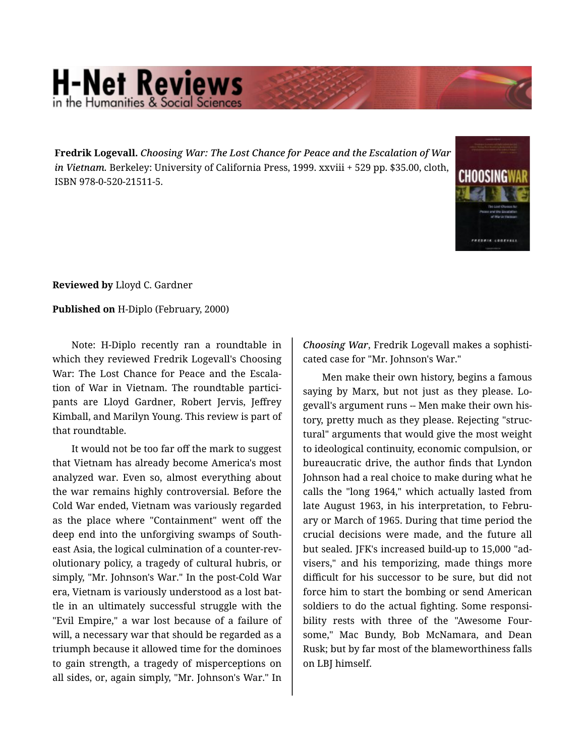## **H-Net Reviews** in the Humanities & Social Scie

**Fredrik Logevall.** *Choosing War: The Lost Chance for Peace and the Escalation of War in Vietnam.* Berkeley: University of California Press, 1999. xxviii + 529 pp. \$35.00, cloth, ISBN 978-0-520-21511-5.



**Reviewed by** Lloyd C. Gardner

**Published on** H-Diplo (February, 2000)

Note: H-Diplo recently ran a roundtable in which they reviewed Fredrik Logevall's Choosing War: The Lost Chance for Peace and the Escala‐ tion of War in Vietnam. The roundtable partici‐ pants are Lloyd Gardner, Robert Jervis, Jeffrey Kimball, and Marilyn Young. This review is part of that roundtable.

It would not be too far off the mark to suggest that Vietnam has already become America's most analyzed war. Even so, almost everything about the war remains highly controversial. Before the Cold War ended, Vietnam was variously regarded as the place where "Containment" went off the deep end into the unforgiving swamps of South‐ east Asia, the logical culmination of a counter-rev‐ olutionary policy, a tragedy of cultural hubris, or simply, "Mr. Johnson's War." In the post-Cold War era, Vietnam is variously understood as a lost bat‐ tle in an ultimately successful struggle with the "Evil Empire," a war lost because of a failure of will, a necessary war that should be regarded as a triumph because it allowed time for the dominoes to gain strength, a tragedy of misperceptions on all sides, or, again simply, "Mr. Johnson's War." In *Choosing War*, Fredrik Logevall makes a sophisti‐ cated case for "Mr. Johnson's War."

Men make their own history, begins a famous saying by Marx, but not just as they please. Lo‐ gevall's argument runs -- Men make their own his‐ tory, pretty much as they please. Rejecting "struc‐ tural" arguments that would give the most weight to ideological continuity, economic compulsion, or bureaucratic drive, the author finds that Lyndon Johnson had a real choice to make during what he calls the "long 1964," which actually lasted from late August 1963, in his interpretation, to Febru‐ ary or March of 1965. During that time period the crucial decisions were made, and the future all but sealed. JFK's increased build-up to 15,000 "ad‐ visers," and his temporizing, made things more difficult for his successor to be sure, but did not force him to start the bombing or send American soldiers to do the actual fighting. Some responsi‐ bility rests with three of the "Awesome Four‐ some," Mac Bundy, Bob McNamara, and Dean Rusk; but by far most of the blameworthiness falls on LBJ himself.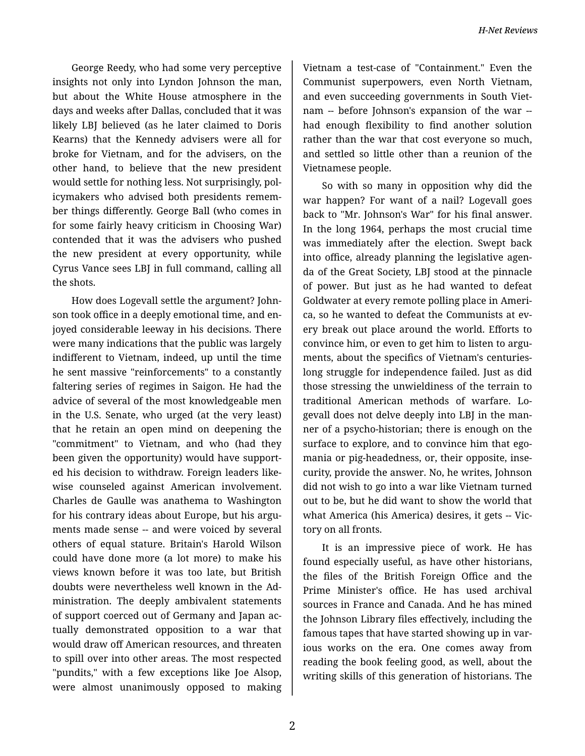George Reedy, who had some very perceptive insights not only into Lyndon Johnson the man, but about the White House atmosphere in the days and weeks after Dallas, concluded that it was likely LBJ believed (as he later claimed to Doris Kearns) that the Kennedy advisers were all for broke for Vietnam, and for the advisers, on the other hand, to believe that the new president would settle for nothing less. Not surprisingly, pol‐ icymakers who advised both presidents remem‐ ber things differently. George Ball (who comes in for some fairly heavy criticism in Choosing War) contended that it was the advisers who pushed the new president at every opportunity, while Cyrus Vance sees LBJ in full command, calling all the shots.

How does Logevall settle the argument? John‐ son took office in a deeply emotional time, and en‐ joyed considerable leeway in his decisions. There were many indications that the public was largely indifferent to Vietnam, indeed, up until the time he sent massive "reinforcements" to a constantly faltering series of regimes in Saigon. He had the advice of several of the most knowledgeable men in the U.S. Senate, who urged (at the very least) that he retain an open mind on deepening the "commitment" to Vietnam, and who (had they been given the opportunity) would have support‐ ed his decision to withdraw. Foreign leaders like‐ wise counseled against American involvement. Charles de Gaulle was anathema to Washington for his contrary ideas about Europe, but his arguments made sense -- and were voiced by several others of equal stature. Britain's Harold Wilson could have done more (a lot more) to make his views known before it was too late, but British doubts were nevertheless well known in the Ad‐ ministration. The deeply ambivalent statements of support coerced out of Germany and Japan ac‐ tually demonstrated opposition to a war that would draw off American resources, and threaten to spill over into other areas. The most respected "pundits," with a few exceptions like Joe Alsop, were almost unanimously opposed to making

Vietnam a test-case of "Containment." Even the Communist superpowers, even North Vietnam, and even succeeding governments in South Viet‐ nam -- before Johnson's expansion of the war - had enough flexibility to find another solution rather than the war that cost everyone so much, and settled so little other than a reunion of the Vietnamese people.

So with so many in opposition why did the war happen? For want of a nail? Logevall goes back to "Mr. Johnson's War" for his final answer. In the long 1964, perhaps the most crucial time was immediately after the election. Swept back into office, already planning the legislative agen‐ da of the Great Society, LBJ stood at the pinnacle of power. But just as he had wanted to defeat Goldwater at every remote polling place in Ameri‐ ca, so he wanted to defeat the Communists at ev‐ ery break out place around the world. Efforts to convince him, or even to get him to listen to argu‐ ments, about the specifics of Vietnam's centurieslong struggle for independence failed. Just as did those stressing the unwieldiness of the terrain to traditional American methods of warfare. Lo‐ gevall does not delve deeply into LBJ in the man‐ ner of a psycho-historian; there is enough on the surface to explore, and to convince him that egomania or pig-headedness, or, their opposite, inse‐ curity, provide the answer. No, he writes, Johnson did not wish to go into a war like Vietnam turned out to be, but he did want to show the world that what America (his America) desires, it gets -- Victory on all fronts.

It is an impressive piece of work. He has found especially useful, as have other historians, the files of the British Foreign Office and the Prime Minister's office. He has used archival sources in France and Canada. And he has mined the Johnson Library files effectively, including the famous tapes that have started showing up in var‐ ious works on the era. One comes away from reading the book feeling good, as well, about the writing skills of this generation of historians. The

2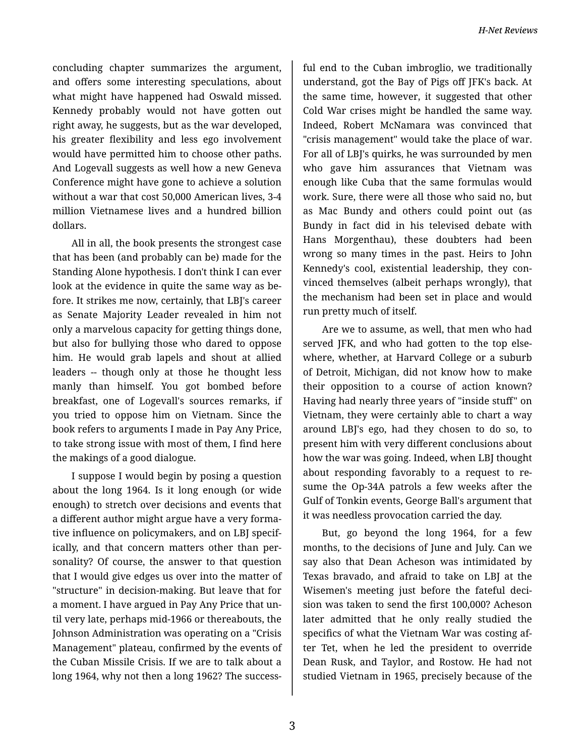concluding chapter summarizes the argument, and offers some interesting speculations, about what might have happened had Oswald missed. Kennedy probably would not have gotten out right away, he suggests, but as the war developed, his greater flexibility and less ego involvement would have permitted him to choose other paths. And Logevall suggests as well how a new Geneva Conference might have gone to achieve a solution without a war that cost 50,000 American lives, 3-4 million Vietnamese lives and a hundred billion dollars.

All in all, the book presents the strongest case that has been (and probably can be) made for the Standing Alone hypothesis. I don't think I can ever look at the evidence in quite the same way as be‐ fore. It strikes me now, certainly, that LBJ's career as Senate Majority Leader revealed in him not only a marvelous capacity for getting things done, but also for bullying those who dared to oppose him. He would grab lapels and shout at allied leaders -- though only at those he thought less manly than himself. You got bombed before breakfast, one of Logevall's sources remarks, if you tried to oppose him on Vietnam. Since the book refers to arguments I made in Pay Any Price, to take strong issue with most of them, I find here the makings of a good dialogue.

I suppose I would begin by posing a question about the long 1964. Is it long enough (or wide enough) to stretch over decisions and events that a different author might argue have a very forma‐ tive influence on policymakers, and on LBJ specif‐ ically, and that concern matters other than per‐ sonality? Of course, the answer to that question that I would give edges us over into the matter of "structure" in decision-making. But leave that for a moment. I have argued in Pay Any Price that un‐ til very late, perhaps mid-1966 or thereabouts, the Johnson Administration was operating on a "Crisis Management" plateau, confirmed by the events of the Cuban Missile Crisis. If we are to talk about a long 1964, why not then a long 1962? The success‐

ful end to the Cuban imbroglio, we traditionally understand, got the Bay of Pigs off JFK's back. At the same time, however, it suggested that other Cold War crises might be handled the same way. Indeed, Robert McNamara was convinced that "crisis management" would take the place of war. For all of LBJ's quirks, he was surrounded by men who gave him assurances that Vietnam was enough like Cuba that the same formulas would work. Sure, there were all those who said no, but as Mac Bundy and others could point out (as Bundy in fact did in his televised debate with Hans Morgenthau), these doubters had been wrong so many times in the past. Heirs to John Kennedy's cool, existential leadership, they con‐ vinced themselves (albeit perhaps wrongly), that the mechanism had been set in place and would run pretty much of itself.

Are we to assume, as well, that men who had served JFK, and who had gotten to the top else‐ where, whether, at Harvard College or a suburb of Detroit, Michigan, did not know how to make their opposition to a course of action known? Having had nearly three years of "inside stuff" on Vietnam, they were certainly able to chart a way around LBJ's ego, had they chosen to do so, to present him with very different conclusions about how the war was going. Indeed, when LBJ thought about responding favorably to a request to re‐ sume the Op-34A patrols a few weeks after the Gulf of Tonkin events, George Ball's argument that it was needless provocation carried the day.

But, go beyond the long 1964, for a few months, to the decisions of June and July. Can we say also that Dean Acheson was intimidated by Texas bravado, and afraid to take on LBJ at the Wisemen's meeting just before the fateful deci‐ sion was taken to send the first 100,000? Acheson later admitted that he only really studied the specifics of what the Vietnam War was costing af‐ ter Tet, when he led the president to override Dean Rusk, and Taylor, and Rostow. He had not studied Vietnam in 1965, precisely because of the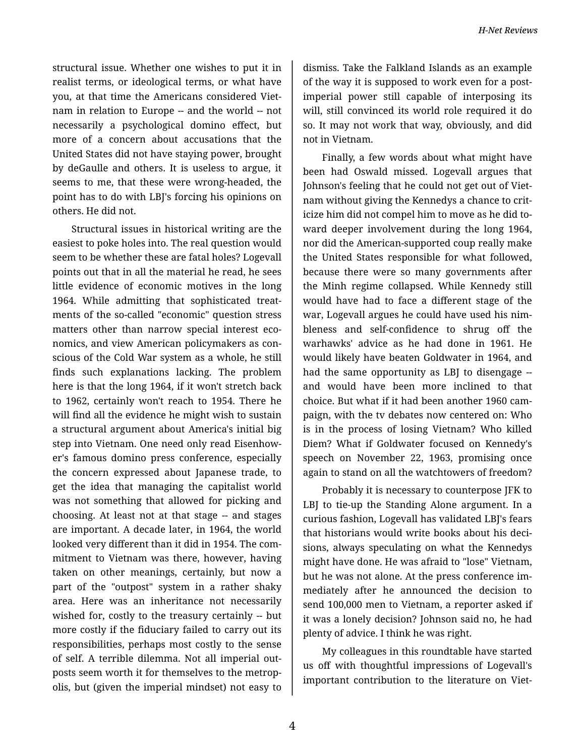structural issue. Whether one wishes to put it in realist terms, or ideological terms, or what have you, at that time the Americans considered Viet‐ nam in relation to Europe -- and the world -- not necessarily a psychological domino effect, but more of a concern about accusations that the United States did not have staying power, brought by deGaulle and others. It is useless to argue, it seems to me, that these were wrong-headed, the point has to do with LBJ's forcing his opinions on others. He did not.

Structural issues in historical writing are the easiest to poke holes into. The real question would seem to be whether these are fatal holes? Logevall points out that in all the material he read, he sees little evidence of economic motives in the long 1964. While admitting that sophisticated treat‐ ments of the so-called "economic" question stress matters other than narrow special interest eco‐ nomics, and view American policymakers as con‐ scious of the Cold War system as a whole, he still finds such explanations lacking. The problem here is that the long 1964, if it won't stretch back to 1962, certainly won't reach to 1954. There he will find all the evidence he might wish to sustain a structural argument about America's initial big step into Vietnam. One need only read Eisenhow‐ er's famous domino press conference, especially the concern expressed about Japanese trade, to get the idea that managing the capitalist world was not something that allowed for picking and choosing. At least not at that stage -- and stages are important. A decade later, in 1964, the world looked very different than it did in 1954. The com‐ mitment to Vietnam was there, however, having taken on other meanings, certainly, but now a part of the "outpost" system in a rather shaky area. Here was an inheritance not necessarily wished for, costly to the treasury certainly -- but more costly if the fiduciary failed to carry out its responsibilities, perhaps most costly to the sense of self. A terrible dilemma. Not all imperial out‐ posts seem worth it for themselves to the metrop‐ olis, but (given the imperial mindset) not easy to

dismiss. Take the Falkland Islands as an example of the way it is supposed to work even for a postimperial power still capable of interposing its will, still convinced its world role required it do so. It may not work that way, obviously, and did not in Vietnam.

Finally, a few words about what might have been had Oswald missed. Logevall argues that Johnson's feeling that he could not get out of Viet‐ nam without giving the Kennedys a chance to crit‐ icize him did not compel him to move as he did to‐ ward deeper involvement during the long 1964, nor did the American-supported coup really make the United States responsible for what followed, because there were so many governments after the Minh regime collapsed. While Kennedy still would have had to face a different stage of the war, Logevall argues he could have used his nim‐ bleness and self-confidence to shrug off the warhawks' advice as he had done in 1961. He would likely have beaten Goldwater in 1964, and had the same opportunity as LBJ to disengage - and would have been more inclined to that choice. But what if it had been another 1960 cam‐ paign, with the tv debates now centered on: Who is in the process of losing Vietnam? Who killed Diem? What if Goldwater focused on Kennedy's speech on November 22, 1963, promising once again to stand on all the watchtowers of freedom?

Probably it is necessary to counterpose JFK to LBJ to tie-up the Standing Alone argument. In a curious fashion, Logevall has validated LBJ's fears that historians would write books about his deci‐ sions, always speculating on what the Kennedys might have done. He was afraid to "lose" Vietnam, but he was not alone. At the press conference im‐ mediately after he announced the decision to send 100,000 men to Vietnam, a reporter asked if it was a lonely decision? Johnson said no, he had plenty of advice. I think he was right.

My colleagues in this roundtable have started us off with thoughtful impressions of Logevall's important contribution to the literature on Viet‐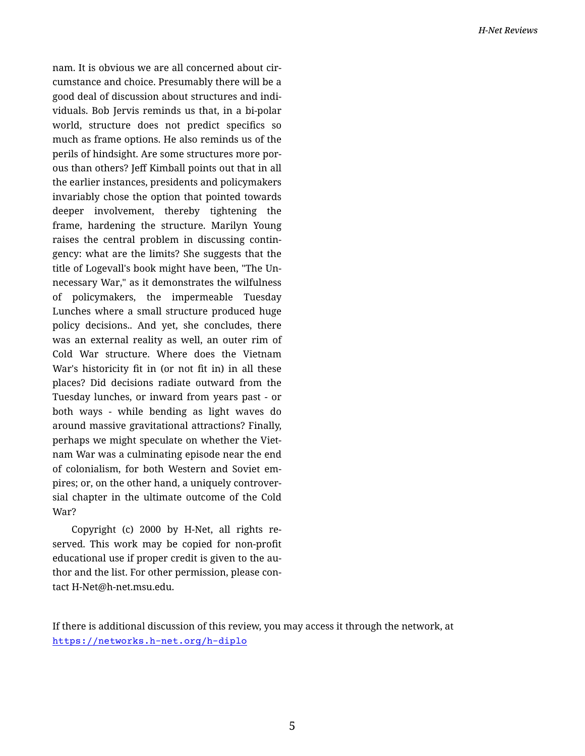nam. It is obvious we are all concerned about cir‐ cumstance and choice. Presumably there will be a good deal of discussion about structures and indi‐ viduals. Bob Jervis reminds us that, in a bi-polar world, structure does not predict specifics so much as frame options. He also reminds us of the perils of hindsight. Are some structures more por‐ ous than others? Jeff Kimball points out that in all the earlier instances, presidents and policymakers invariably chose the option that pointed towards deeper involvement, thereby tightening the frame, hardening the structure. Marilyn Young raises the central problem in discussing contin‐ gency: what are the limits? She suggests that the title of Logevall's book might have been, "The Un‐ necessary War," as it demonstrates the wilfulness of policymakers, the impermeable Tuesday Lunches where a small structure produced huge policy decisions.. And yet, she concludes, there was an external reality as well, an outer rim of Cold War structure. Where does the Vietnam War's historicity fit in (or not fit in) in all these places? Did decisions radiate outward from the Tuesday lunches, or inward from years past - or both ways - while bending as light waves do around massive gravitational attractions? Finally, perhaps we might speculate on whether the Viet‐ nam War was a culminating episode near the end of colonialism, for both Western and Soviet em‐ pires; or, on the other hand, a uniquely controver‐ sial chapter in the ultimate outcome of the Cold War?

Copyright (c) 2000 by H-Net, all rights re‐ served. This work may be copied for non-profit educational use if proper credit is given to the au‐ thor and the list. For other permission, please con‐ tact H-Net@h-net.msu.edu.

If there is additional discussion of this review, you may access it through the network, at <https://networks.h-net.org/h-diplo>